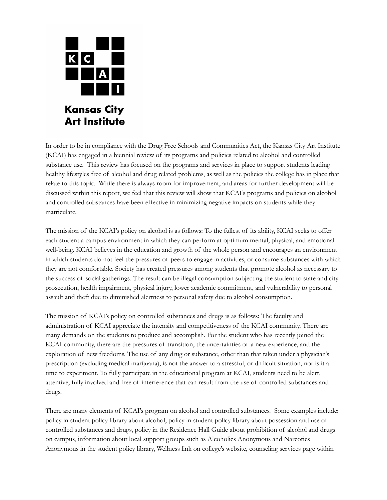

In order to be in compliance with the Drug Free Schools and Communities Act, the Kansas City Art Institute (KCAI) has engaged in a biennial review of its programs and policies related to alcohol and controlled substance use. This review has focused on the programs and services in place to support students leading healthy lifestyles free of alcohol and drug related problems, as well as the policies the college has in place that relate to this topic. While there is always room for improvement, and areas for further development will be discussed within this report, we feel that this review will show that KCAI's programs and policies on alcohol and controlled substances have been effective in minimizing negative impacts on students while they matriculate.

The mission of the KCAI's policy on alcohol is as follows: To the fullest of its ability, KCAI seeks to offer each student a campus environment in which they can perform at optimum mental, physical, and emotional well-being. KCAI believes in the education and growth of the whole person and encourages an environment in which students do not feel the pressures of peers to engage in activities, or consume substances with which they are not comfortable. Society has created pressures among students that promote alcohol as necessary to the success of social gatherings. The result can be illegal consumption subjecting the student to state and city prosecution, health impairment, physical injury, lower academic commitment, and vulnerability to personal assault and theft due to diminished alertness to personal safety due to alcohol consumption.

The mission of KCAI's policy on controlled substances and drugs is as follows: The faculty and administration of KCAI appreciate the intensity and competitiveness of the KCAI community. There are many demands on the students to produce and accomplish. For the student who has recently joined the KCAI community, there are the pressures of transition, the uncertainties of a new experience, and the exploration of new freedoms. The use of any drug or substance, other than that taken under a physician's prescription (excluding medical marijuana), is not the answer to a stressful, or difficult situation, nor is it a time to experiment. To fully participate in the educational program at KCAI, students need to be alert, attentive, fully involved and free of interference that can result from the use of controlled substances and drugs.

There are many elements of KCAI's program on alcohol and controlled substances. Some examples include: policy in student policy library about alcohol, policy in student policy library about possession and use of controlled substances and drugs, policy in the Residence Hall Guide about prohibition of alcohol and drugs on campus, information about local support groups such as Alcoholics Anonymous and Narcotics Anonymous in the student policy library, Wellness link on college's website, counseling services page within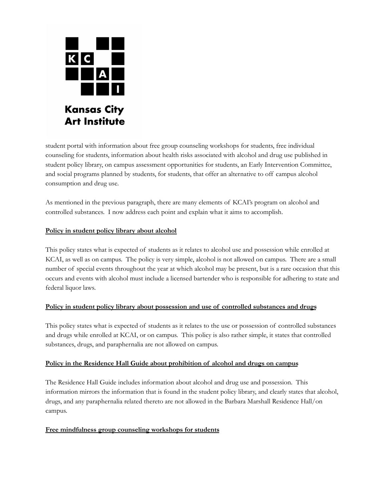

student portal with information about free group counseling workshops for students, free individual counseling for students, information about health risks associated with alcohol and drug use published in student policy library, on campus assessment opportunities for students, an Early Intervention Committee, and social programs planned by students, for students, that offer an alternative to off campus alcohol consumption and drug use.

As mentioned in the previous paragraph, there are many elements of KCAI's program on alcohol and controlled substances. I now address each point and explain what it aims to accomplish.

## **Policy in student policy library about alcohol**

This policy states what is expected of students as it relates to alcohol use and possession while enrolled at KCAI, as well as on campus. The policy is very simple, alcohol is not allowed on campus. There are a small number of special events throughout the year at which alcohol may be present, but is a rare occasion that this occurs and events with alcohol must include a licensed bartender who is responsible for adhering to state and federal liquor laws.

### **Policy in student policy library about possession and use of controlled substances and drugs**

This policy states what is expected of students as it relates to the use or possession of controlled substances and drugs while enrolled at KCAI, or on campus. This policy is also rather simple, it states that controlled substances, drugs, and paraphernalia are not allowed on campus.

## **Policy in the Residence Hall Guide about prohibition of alcohol and drugs on campus**

The Residence Hall Guide includes information about alcohol and drug use and possession. This information mirrors the information that is found in the student policy library, and clearly states that alcohol, drugs, and any paraphernalia related thereto are not allowed in the Barbara Marshall Residence Hall/on campus.

### **Free mindfulness group counseling workshops for students**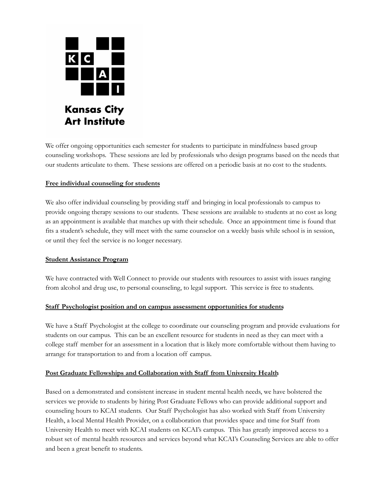

We offer ongoing opportunities each semester for students to participate in mindfulness based group counseling workshops. These sessions are led by professionals who design programs based on the needs that our students articulate to them. These sessions are offered on a periodic basis at no cost to the students.

### **Free individual counseling for students**

We also offer individual counseling by providing staff and bringing in local professionals to campus to provide ongoing therapy sessions to our students. These sessions are available to students at no cost as long as an appointment is available that matches up with their schedule. Once an appointment time is found that fits a student's schedule, they will meet with the same counselor on a weekly basis while school is in session, or until they feel the service is no longer necessary.

#### **Student Assistance Program**

We have contracted with Well Connect to provide our students with resources to assist with issues ranging from alcohol and drug use, to personal counseling, to legal support. This service is free to students.

#### **Staff Psychologist position and on campus assessment opportunities for students**

We have a Staff Psychologist at the college to coordinate our counseling program and provide evaluations for students on our campus. This can be an excellent resource for students in need as they can meet with a college staff member for an assessment in a location that is likely more comfortable without them having to arrange for transportation to and from a location off campus.

### **Post Graduate Fellowships and Collaboration with Staff from University Health**

Based on a demonstrated and consistent increase in student mental health needs, we have bolstered the services we provide to students by hiring Post Graduate Fellows who can provide additional support and counseling hours to KCAI students. Our Staff Psychologist has also worked with Staff from University Health, a local Mental Health Provider, on a collaboration that provides space and time for Staff from University Health to meet with KCAI students on KCAI's campus. This has greatly improved access to a robust set of mental health resources and services beyond what KCAI's Counseling Services are able to offer and been a great benefit to students.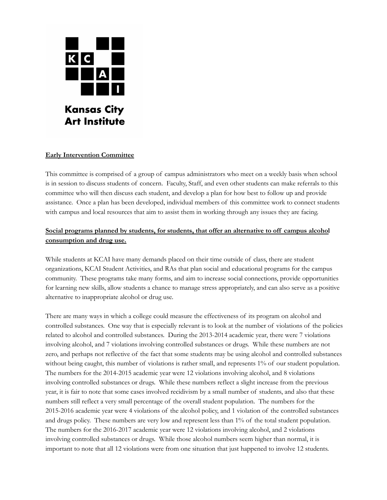

## **Early Intervention Committee**

This committee is comprised of a group of campus administrators who meet on a weekly basis when school is in session to discuss students of concern. Faculty, Staff, and even other students can make referrals to this committee who will then discuss each student, and develop a plan for how best to follow up and provide assistance. Once a plan has been developed, individual members of this committee work to connect students with campus and local resources that aim to assist them in working through any issues they are facing.

# **Social programs planned by students, for students, that offer an alternative to off campus alcohol consumption and drug use.**

While students at KCAI have many demands placed on their time outside of class, there are student organizations, KCAI Student Activities, and RAs that plan social and educational programs for the campus community. These programs take many forms, and aim to increase social connections, provide opportunities for learning new skills, allow students a chance to manage stress appropriately, and can also serve as a positive alternative to inappropriate alcohol or drug use.

There are many ways in which a college could measure the effectiveness of its program on alcohol and controlled substances. One way that is especially relevant is to look at the number of violations of the policies related to alcohol and controlled substances. During the 2013-2014 academic year, there were 7 violations involving alcohol, and 7 violations involving controlled substances or drugs. While these numbers are not zero, and perhaps not reflective of the fact that some students may be using alcohol and controlled substances without being caught, this number of violations is rather small, and represents 1% of our student population. The numbers for the 2014-2015 academic year were 12 violations involving alcohol, and 8 violations involving controlled substances or drugs. While these numbers reflect a slight increase from the previous year, it is fair to note that some cases involved recidivism by a small number of students, and also that these numbers still reflect a very small percentage of the overall student population. The numbers for the 2015-2016 academic year were 4 violations of the alcohol policy, and 1 violation of the controlled substances and drugs policy. These numbers are very low and represent less than 1% of the total student population. The numbers for the 2016-2017 academic year were 12 violations involving alcohol, and 2 violations involving controlled substances or drugs. While those alcohol numbers seem higher than normal, it is important to note that all 12 violations were from one situation that just happened to involve 12 students.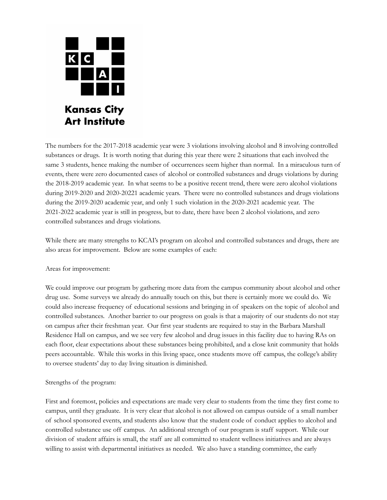

The numbers for the 2017-2018 academic year were 3 violations involving alcohol and 8 involving controlled substances or drugs. It is worth noting that during this year there were 2 situations that each involved the same 3 students, hence making the number of occurrences seem higher than normal. In a miraculous turn of events, there were zero documented cases of alcohol or controlled substances and drugs violations by during the 2018-2019 academic year. In what seems to be a positive recent trend, there were zero alcohol violations during 2019-2020 and 2020-20221 academic years. There were no controlled substances and drugs violations during the 2019-2020 academic year, and only 1 such violation in the 2020-2021 academic year. The 2021-2022 academic year is still in progress, but to date, there have been 2 alcohol violations, and zero controlled substances and drugs violations.

While there are many strengths to KCAI's program on alcohol and controlled substances and drugs, there are also areas for improvement. Below are some examples of each:

Areas for improvement:

We could improve our program by gathering more data from the campus community about alcohol and other drug use. Some surveys we already do annually touch on this, but there is certainly more we could do. We could also increase frequency of educational sessions and bringing in of speakers on the topic of alcohol and controlled substances. Another barrier to our progress on goals is that a majority of our students do not stay on campus after their freshman year. Our first year students are required to stay in the Barbara Marshall Residence Hall on campus, and we see very few alcohol and drug issues in this facility due to having RAs on each floor, clear expectations about these substances being prohibited, and a close knit community that holds peers accountable. While this works in this living space, once students move off campus, the college's ability to oversee students' day to day living situation is diminished.

Strengths of the program:

First and foremost, policies and expectations are made very clear to students from the time they first come to campus, until they graduate. It is very clear that alcohol is not allowed on campus outside of a small number of school sponsored events, and students also know that the student code of conduct applies to alcohol and controlled substance use off campus. An additional strength of our program is staff support. While our division of student affairs is small, the staff are all committed to student wellness initiatives and are always willing to assist with departmental initiatives as needed. We also have a standing committee, the early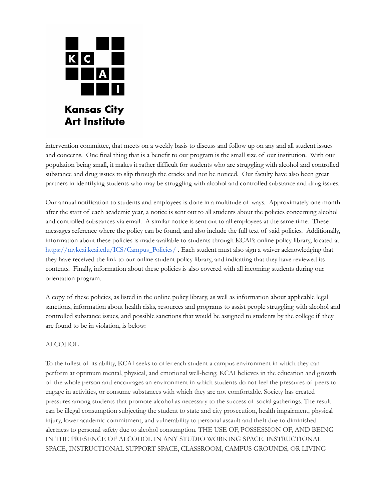

intervention committee, that meets on a weekly basis to discuss and follow up on any and all student issues and concerns. One final thing that is a benefit to our program is the small size of our institution. With our population being small, it makes it rather difficult for students who are struggling with alcohol and controlled substance and drug issues to slip through the cracks and not be noticed. Our faculty have also been great partners in identifying students who may be struggling with alcohol and controlled substance and drug issues.

Our annual notification to students and employees is done in a multitude of ways. Approximately one month after the start of each academic year, a notice is sent out to all students about the policies concerning alcohol and controlled substances via email. A similar notice is sent out to all employees at the same time. These messages reference where the policy can be found, and also include the full text of said policies. Additionally, information about these policies is made available to students through KCAI's online policy library, located at [https://mykcai.kcai.edu/ICS/Campus\\_Policies/](https://mykcai.kcai.edu/ICS/Campus_Policies/) . Each student must also sign a waiver acknowledging that they have received the link to our online student policy library, and indicating that they have reviewed its contents. Finally, information about these policies is also covered with all incoming students during our orientation program.

A copy of these policies, as listed in the online policy library, as well as information about applicable legal sanctions, information about health risks, resources and programs to assist people struggling with alcohol and controlled substance issues, and possible sanctions that would be assigned to students by the college if they are found to be in violation, is below:

### ALCOHOL

To the fullest of its ability, KCAI seeks to offer each student a campus environment in which they can perform at optimum mental, physical, and emotional well-being. KCAI believes in the education and growth of the whole person and encourages an environment in which students do not feel the pressures of peers to engage in activities, or consume substances with which they are not comfortable. Society has created pressures among students that promote alcohol as necessary to the success of social gatherings. The result can be illegal consumption subjecting the student to state and city prosecution, health impairment, physical injury, lower academic commitment, and vulnerability to personal assault and theft due to diminished alertness to personal safety due to alcohol consumption. THE USE OF, POSSESSION OF, AND BEING IN THE PRESENCE OF ALCOHOL IN ANY STUDIO WORKING SPACE, INSTRUCTIONAL SPACE, INSTRUCTIONAL SUPPORT SPACE, CLASSROOM, CAMPUS GROUNDS, OR LIVING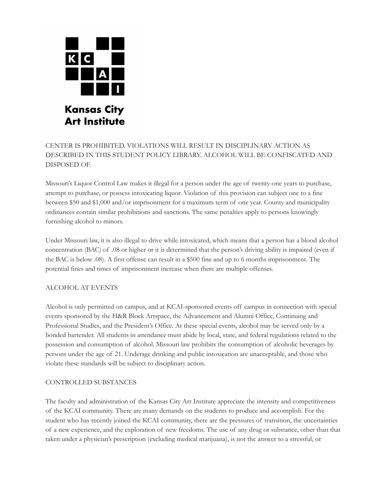

# CENTER IS PROHIBITED. VIOLATIONS WILL RESULT IN DISCIPLINARY ACTION AS DESCRIBED IN THIS STUDENT POLICY LIBRARY. ALCOHOL WILL BE CONFISCATED AND DISPOSED OF.

Missouri's Liquor Control Law makes it illegal for a person under the age of twenty-one years to purchase, attempt to purchase, or possess intoxicating liquor. Violation of this provision can subject one to a fine between \$50 and \$1,000 and/or imprisonment for a maximum term of one year. County and municipality ordinances contain similar prohibitions and sanctions. The same penalties apply to persons knowingly furnishing alcohol to minors.

Under Missouri law, it is also illegal to drive while intoxicated, which means that a person has a blood alcohol concentration (BAC) of .08 or higher or it is determined that the person's driving ability is impaired (even if the BAC is below .08). A first offense can result in a \$500 fine and up to 6 months imprisonment. The potential fines and times of imprisonment increase when there are multiple offenses.

### ALCOHOL AT EVENTS

Alcohol is only permitted on campus, and at KCAI-sponsored events off campus in connection with special events sponsored by the H&R Block Artspace, the Advancement and Alumni Office, Continuing and Professional Studies, and the President's Office. At these special events, alcohol may be served only by a bonded bartender. All students in attendance must abide by local, state, and federal regulations related to the possession and consumption of alcohol. Missouri law prohibits the consumption of alcoholic beverages by persons under the age of 21. Underage drinking and public intoxication are unacceptable, and those who violate these standards will be subject to disciplinary action.

### CONTROLLED SUBSTANCES

The faculty and administration of the Kansas City Art Institute appreciate the intensity and competitiveness of the KCAI community. There are many demands on the students to produce and accomplish. For the student who has recently joined the KCAI community, there are the pressures of transition, the uncertainties of a new experience, and the exploration of new freedoms. The use of any drug or substance, other than that taken under a physician's prescription (excluding medical marijuana), is not the answer to a stressful, or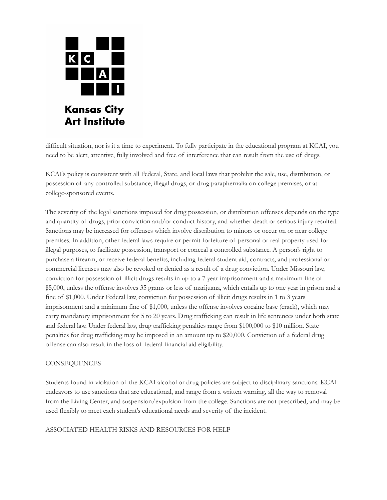

difficult situation, nor is it a time to experiment. To fully participate in the educational program at KCAI, you need to be alert, attentive, fully involved and free of interference that can result from the use of drugs.

KCAI's policy is consistent with all Federal, State, and local laws that prohibit the sale, use, distribution, or possession of any controlled substance, illegal drugs, or drug paraphernalia on college premises, or at college-sponsored events.

The severity of the legal sanctions imposed for drug possession, or distribution offenses depends on the type and quantity of drugs, prior conviction and/or conduct history, and whether death or serious injury resulted. Sanctions may be increased for offenses which involve distribution to minors or occur on or near college premises. In addition, other federal laws require or permit forfeiture of personal or real property used for illegal purposes, to facilitate possession, transport or conceal a controlled substance. A person's right to purchase a firearm, or receive federal benefits, including federal student aid, contracts, and professional or commercial licenses may also be revoked or denied as a result of a drug conviction. Under Missouri law, conviction for possession of illicit drugs results in up to a 7 year imprisonment and a maximum fine of \$5,000, unless the offense involves 35 grams or less of marijuana, which entails up to one year in prison and a fine of \$1,000. Under Federal law, conviction for possession of illicit drugs results in 1 to 3 years imprisonment and a minimum fine of \$1,000, unless the offense involves cocaine base (crack), which may carry mandatory imprisonment for 5 to 20 years. Drug trafficking can result in life sentences under both state and federal law. Under federal law, drug trafficking penalties range from \$100,000 to \$10 million. State penalties for drug trafficking may be imposed in an amount up to \$20,000. Conviction of a federal drug offense can also result in the loss of federal financial aid eligibility.

### **CONSEQUENCES**

Students found in violation of the KCAI alcohol or drug policies are subject to disciplinary sanctions. KCAI endeavors to use sanctions that are educational, and range from a written warning, all the way to removal from the Living Center, and suspension/expulsion from the college. Sanctions are not prescribed, and may be used flexibly to meet each student's educational needs and severity of the incident.

ASSOCIATED HEALTH RISKS AND RESOURCES FOR HELP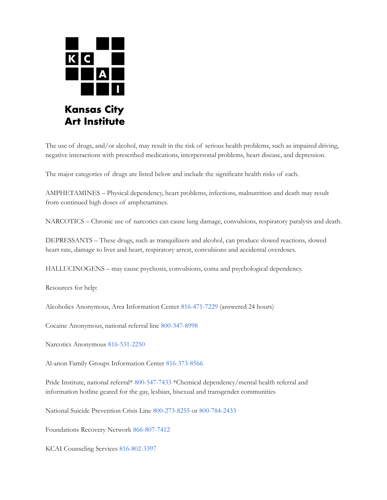

The use of drugs, and/or alcohol, may result in the risk of serious health problems, such as impaired driving, negative interactions with prescribed medications, interpersonal problems, heart disease, and depression.

The major categories of drugs are listed below and include the significant health risks of each.

AMPHETAMINES – Physical dependency, heart problems, infections, malnutrition and death may result from continued high doses of amphetamines.

NARCOTICS – Chronic use of narcotics can cause lung damage, convulsions, respiratory paralysis and death.

DEPRESSANTS – These drugs, such as tranquilizers and alcohol, can produce slowed reactions, slowed heart rate, damage to liver and heart, respiratory arrest, convulsions and accidental overdoses.

HALLUCINOGENS – may cause psychosis, convulsions, coma and psychological dependency.

Resources for help:

Alcoholics Anonymous, Area Information Center 816-471-7229 (answered 24 hours)

Cocaine Anonymous, national referral line 800-347-8998

Narcotics Anonymous 816-531-2250

Al-anon Family Groups Information Center 816-373-8566

Pride Institute, national referral\* 800-547-7433 \*Chemical dependency/mental health referral and information hotline geared for the gay, lesbian, bisexual and transgender communities

National Suicide Prevention Crisis Line 800-273-8255 or 800-784-2433

Foundations Recovery Network 866-807-7412

KCAI Counseling Services 816-802-3397